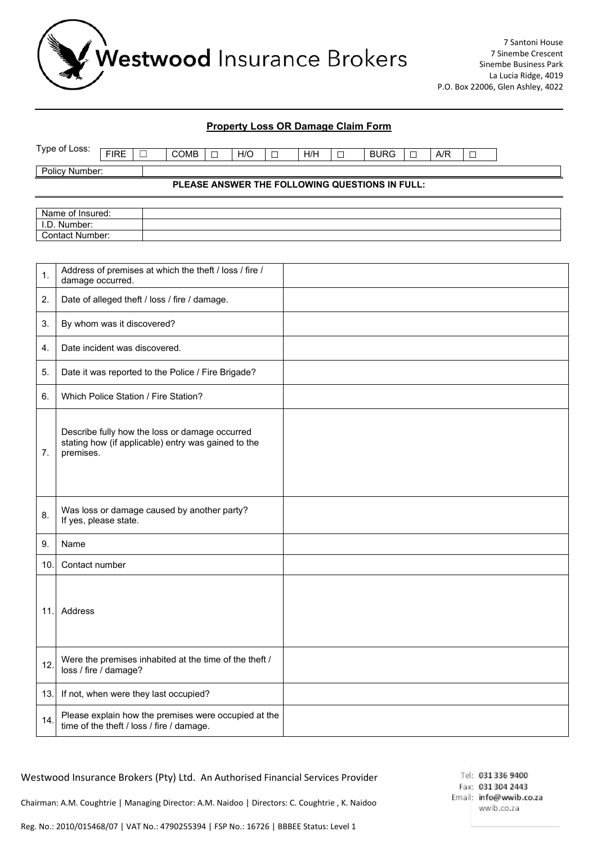

#### **Property Loss OR Damage Claim Form**

| 'vpe<br>Loss:<br>οt | <b>FIDE</b><br>. | _<br>─ | COMB | - | H/C | _<br>─ | H/H | __<br><u>_</u> | RI<br>$\overline{1}$ | _<br>_ | $\sqrt{2}$<br>Aνr | _ |
|---------------------|------------------|--------|------|---|-----|--------|-----|----------------|----------------------|--------|-------------------|---|
| Number:<br>olicy    |                  |        |      |   |     |        |     |                |                      |        |                   |   |

**PLEASE ANSWER THE FOLLOWING QUESTIONS IN FULL:**

| Name of Insured:     |  |
|----------------------|--|
| I.D. Number:         |  |
| * Number:<br>Contact |  |

| 1.   | Address of premises at which the theft / loss / fire /<br>damage occurred.                                         |  |
|------|--------------------------------------------------------------------------------------------------------------------|--|
| 2.   | Date of alleged theft / loss / fire / damage.                                                                      |  |
| 3.   | By whom was it discovered?                                                                                         |  |
| 4.   | Date incident was discovered.                                                                                      |  |
| 5.   | Date it was reported to the Police / Fire Brigade?                                                                 |  |
| 6.   | Which Police Station / Fire Station?                                                                               |  |
| 7.   | Describe fully how the loss or damage occurred<br>stating how (if applicable) entry was gained to the<br>premises. |  |
| 8.   | Was loss or damage caused by another party?<br>If yes, please state.                                               |  |
| 9.   | Name                                                                                                               |  |
| 10.  | Contact number                                                                                                     |  |
| 11.  | Address                                                                                                            |  |
| 12.  | Were the premises inhabited at the time of the theft /<br>loss / fire / damage?                                    |  |
| 13.1 | If not, when were they last occupied?                                                                              |  |
| 14.  | Please explain how the premises were occupied at the<br>time of the theft / loss / fire / damage.                  |  |

#### Westwood Insurance Brokers (Pty) Ltd. An Authorised Financial Services Provider

Chairman: A.M. Coughtrie | Managing Director: A.M. Naidoo | Directors: C. Coughtrie , K. Naidoo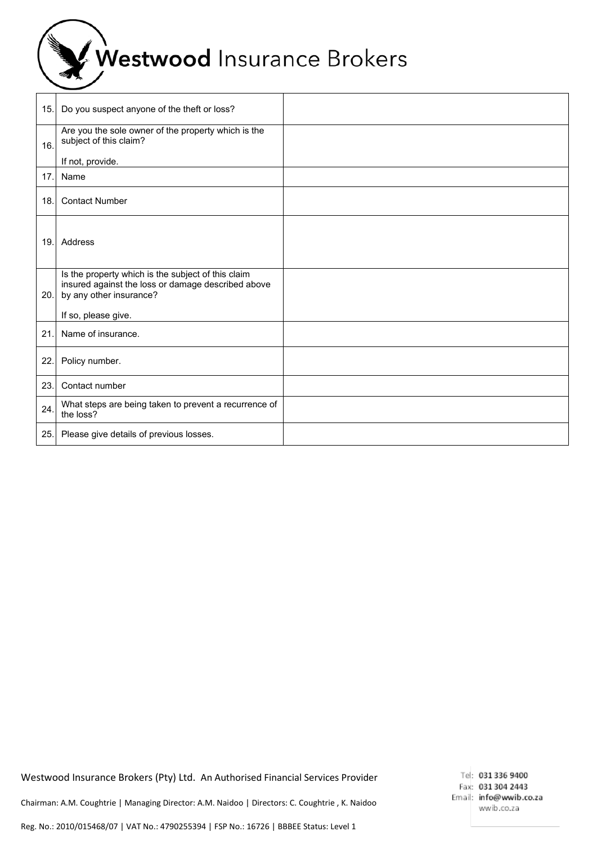Westwood Insurance Brokers

| 15. | Do you suspect anyone of the theft or loss?                                                                                                                |  |
|-----|------------------------------------------------------------------------------------------------------------------------------------------------------------|--|
| 16. | Are you the sole owner of the property which is the<br>subject of this claim?                                                                              |  |
|     | If not, provide.                                                                                                                                           |  |
| 17. | Name                                                                                                                                                       |  |
| 18. | <b>Contact Number</b>                                                                                                                                      |  |
| 19. | Address                                                                                                                                                    |  |
| 20. | Is the property which is the subject of this claim<br>insured against the loss or damage described above<br>by any other insurance?<br>If so, please give. |  |
| 21. | Name of insurance.                                                                                                                                         |  |
| 22. | Policy number.                                                                                                                                             |  |
| 23. | Contact number                                                                                                                                             |  |
| 24. | What steps are being taken to prevent a recurrence of<br>the loss?                                                                                         |  |
| 25. | Please give details of previous losses.                                                                                                                    |  |

Westwood Insurance Brokers (Pty) Ltd. An Authorised Financial Services Provider

Tel: 031 336 9400 Fax: 031 304 2443 Email: info@wwib.co.za wwib.co.za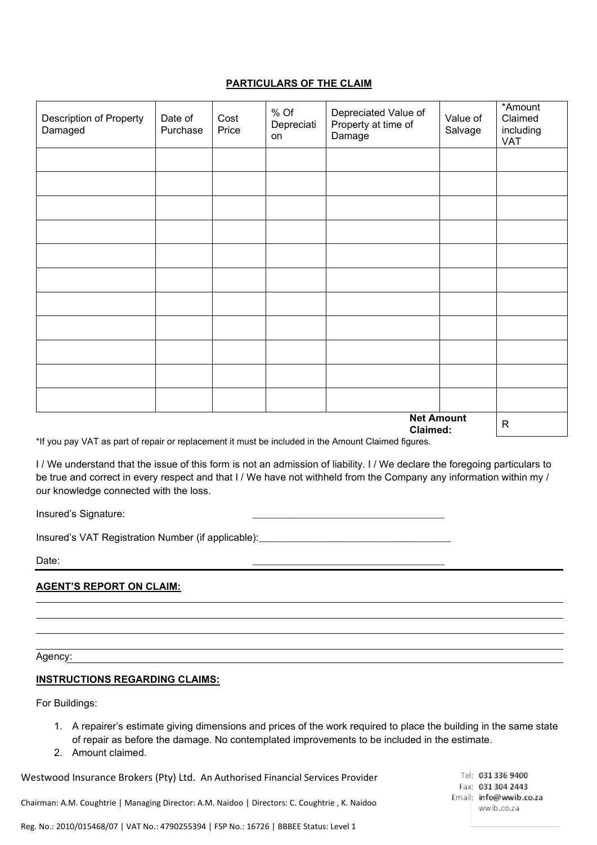# **PARTICULARS OF THE CLAIM**

| Description of Property<br>Damaged | Date of<br>Purchase | Cost<br>Price | % Of<br>Depreciati<br>on | Depreciated Value of<br>Property at time of<br>Damage | Value of<br>Salvage | *Amount<br>Claimed<br>including<br>VAT |
|------------------------------------|---------------------|---------------|--------------------------|-------------------------------------------------------|---------------------|----------------------------------------|
|                                    |                     |               |                          |                                                       |                     |                                        |
|                                    |                     |               |                          |                                                       |                     |                                        |
|                                    |                     |               |                          |                                                       |                     |                                        |
|                                    |                     |               |                          |                                                       |                     |                                        |
|                                    |                     |               |                          |                                                       |                     |                                        |
|                                    |                     |               |                          |                                                       |                     |                                        |
|                                    |                     |               |                          |                                                       |                     |                                        |
|                                    |                     |               |                          |                                                       |                     |                                        |
|                                    |                     |               |                          |                                                       |                     |                                        |
|                                    |                     |               |                          |                                                       |                     |                                        |
|                                    |                     |               |                          |                                                       |                     |                                        |
| <b>Net Amount</b><br>Claimed:      |                     |               |                          |                                                       |                     |                                        |

\*If you pay VAT as part of repair or replacement it must be included in the Amount Claimed figures.

I / We understand that the issue of this form is not an admission of liability. I / We declare the foregoing particulars to be true and correct in every respect and that I / We have not withheld from the Company any information within my / our knowledge connected with the loss.

Insured's Signature:

Insured's VAT Registration Number (if applicable):

Date: \_\_\_\_\_\_\_\_\_\_\_\_\_\_\_\_\_\_\_\_\_\_\_\_\_\_\_\_\_\_\_\_\_\_\_\_\_\_\_\_\_\_

## **AGENT'S REPORT ON CLAIM:**

Agency:

### **INSTRUCTIONS REGARDING CLAIMS:**

For Buildings:

- 1. A repairer's estimate giving dimensions and prices of the work required to place the building in the same state of repair as before the damage. No contemplated improvements to be included in the estimate.
- 2. Amount claimed.

Westwood Insurance Brokers (Pty) Ltd. An Authorised Financial Services Provider

Chairman: A.M. Coughtrie | Managing Director: A.M. Naidoo | Directors: C. Coughtrie , K. Naidoo

Tel: 031 336 9400 Fax: 031 304 2443 Email: info@wwib.co.za wwib.co.za

Reg. No.: 2010/015468/07 | VAT No.: 4790255394 | FSP No.: 16726 | BBBEE Status: Level 1